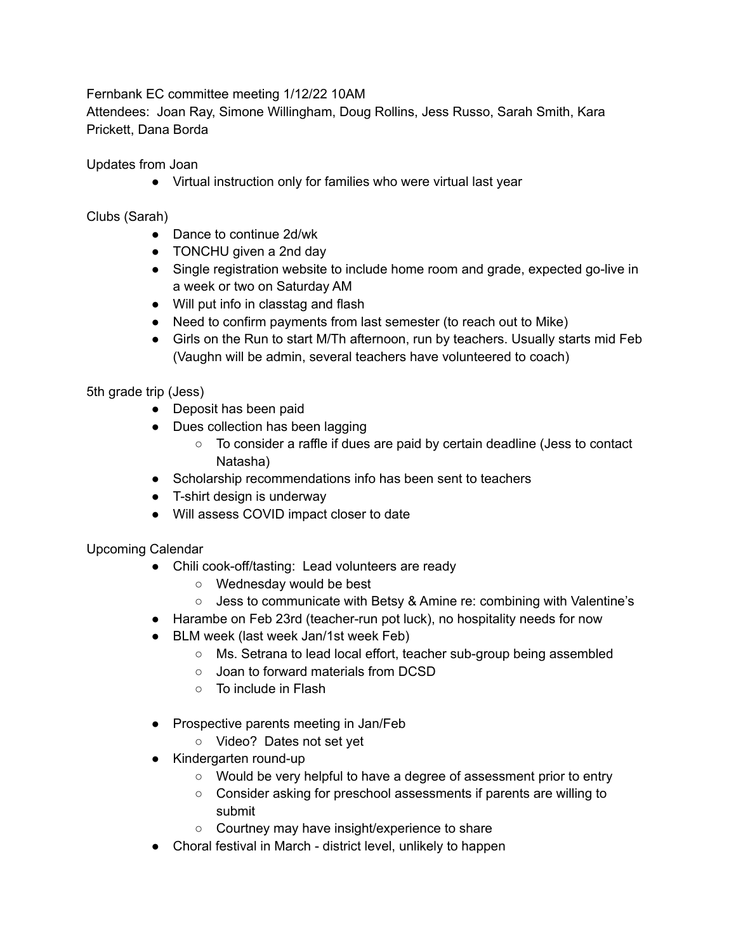Fernbank EC committee meeting 1/12/22 10AM

Attendees: Joan Ray, Simone Willingham, Doug Rollins, Jess Russo, Sarah Smith, Kara Prickett, Dana Borda

Updates from Joan

● Virtual instruction only for families who were virtual last year

Clubs (Sarah)

- Dance to continue 2d/wk
- TONCHU given a 2nd day
- Single registration website to include home room and grade, expected go-live in a week or two on Saturday AM
- Will put info in classtag and flash
- Need to confirm payments from last semester (to reach out to Mike)
- Girls on the Run to start M/Th afternoon, run by teachers. Usually starts mid Feb (Vaughn will be admin, several teachers have volunteered to coach)

5th grade trip (Jess)

- Deposit has been paid
- Dues collection has been lagging
	- To consider a raffle if dues are paid by certain deadline (Jess to contact Natasha)
- Scholarship recommendations info has been sent to teachers
- T-shirt design is underway
- Will assess COVID impact closer to date

Upcoming Calendar

- Chili cook-off/tasting: Lead volunteers are ready
	- Wednesday would be best
	- Jess to communicate with Betsy & Amine re: combining with Valentine's
- Harambe on Feb 23rd (teacher-run pot luck), no hospitality needs for now
- BLM week (last week Jan/1st week Feb)
	- Ms. Setrana to lead local effort, teacher sub-group being assembled
	- Joan to forward materials from DCSD
	- To include in Flash
- Prospective parents meeting in Jan/Feb
	- Video? Dates not set yet
- Kindergarten round-up
	- Would be very helpful to have a degree of assessment prior to entry
	- Consider asking for preschool assessments if parents are willing to submit
	- Courtney may have insight/experience to share
- Choral festival in March district level, unlikely to happen